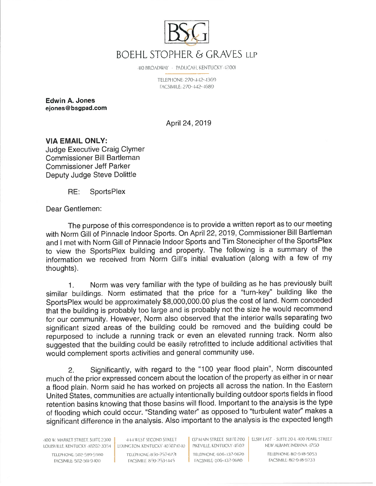

110 BROADWAY - PADUCAH, KENTUCKY 42001

TELEPHONE: 270-442-4369 FACSIMILE: 270-442-4689

Edwin A. Jones ejones @ bsgpad.com

April 24, 2019

## VIA EMAIL ONLY:

Judge Executive Craig Clymer Commissioner Bill Bartleman Commissioner Jeff Parker Deputy Judge Steve Dolittle

RE: SportsPlex

Dear Gentlemen:

The purpose of this correspondence is to provide <sup>a</sup> written repor<sup>t</sup> as to our meeting with Norm Gill of Pinnacle Indoor Sports. On April 22, 2019, Commissioner Bill Bartleman and <sup>I</sup> met with Norm Gill of Pinnacle Indoor Sports and Tim Stonecipher of the SportsPlex to view the SporisPlex building and property. The following is <sup>a</sup> summary of the information we received from Norm Gill's initial evaluation (along with <sup>a</sup> few of my thoughts).

1. Norm was very familiar with the type of building as he has previously built similar buildings. Norm estimated that the price for <sup>a</sup> "turn-key" building like the SportsPlex would be approximately \$8,000,000.00 <sup>p</sup>lus the cost of land. Norm conceded that the building is probably too large and is probably not the size he would recommend for our community. However, Norm also observed that the interior walls separating two significant sized areas of the building could be removed and the building could be repurpose<sup>d</sup> to include <sup>a</sup> running track or even an elevated running track. Norm also suggested that the building could be easily retrofitted to include additional activities that would complement sports activities and genera<sup>l</sup> community use.

2. Significantly, with regar<sup>d</sup> to the "100 year flood <sup>p</sup>lain", Norm discounted much of the prior expresse<sup>d</sup> concern about the location of the property as either in or near <sup>a</sup> flood <sup>p</sup>lain. Norm said he has worked on projects all across the nation. In the Eastern United States, communities are actually intentionally building outdoor sports fields in flood retention basins knowing that those basins will flood. Important to the analysis is the type of flooding which could occur. "Standing water" as oppose<sup>d</sup> to "turbulent water" makes <sup>a</sup> significant difference in the analysis. Also important to the analysis is the expected length

LOUISVILLE. KENTUCKY -10202-3354 LEXINGTON. KENTUCKY -10507-10-10 PIKEVILLE, KENTUCKY -11502 NEW ALBANY. INDIANA -17150

FACSIMILE 502-561-9400 **| FACSIMILE 859-253-1445** | FACSIMILE 006-432-9680 | FACSIMILE 812-948-9233

100 W. MARKET STREET, SUITE 2300 | 444 W.LST SECOND STREET | 37 MAIN STREET, SUITE 200 | ELSBY LAST - SUITE 204. 100 PEARL STREET

TELEPHONE: 502-589-5980 TELEPHONE: 859-252-6721 TELEPHONE: 606-432-9670 TELEPI IONE: 8l2-9-18-5053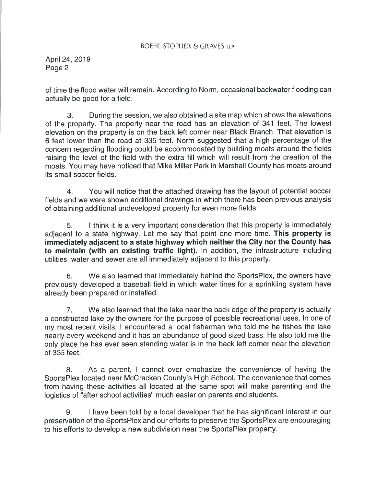## BOEHL STOPHER & GRAVES LLP

April 24, 2019 Page 2

of time the flood water will remain. According to Norm, occasional backwater flooding can actually be good for <sup>a</sup> field.

3. During the session, we also obtained <sup>a</sup> site map which shows the elevations of the property. The property near the road has an elevation of 341 feet. The lowest elevation on the property is on the back left corner near Black Branch. That elevation is <sup>6</sup> feet lower than the road at 335 feet. Norm suggested that <sup>a</sup> high percentage of the concern regarding flooding could be accommodated by building moats around the fields raising the level of the field with the extra fill which will result from the creation of the moats. You may have noticed that Mike Miller Park in Marshall County has moats around its small soccer fields.

4. You will notice that the attached drawing has the layout of potential soccer fields and we were shown additional drawings in which there has been previous analysis of obtaining additional undeveloped property for even more fields.

5. <sup>I</sup> think it is <sup>a</sup> very important consideration that this property is immediately adjacent to a state highway. Let me say that point one more time. This property is immediately adjacent to <sup>a</sup> state highway which neither the City nor the County has to maintain (with an existing traffic light). In addition, the infrastructure including utilities, water and sewer are all immediately adjacent to this property.

6. We also learned that immediately behind the SportsPlex, the owners have previously developed <sup>a</sup> baseball field in which water lines for <sup>a</sup> sprinkling system have already been prepared or installed.

7. We also learned that the lake near the back edge of the property is actually <sup>a</sup> constructed lake by the owners for the purpose of possible recreational uses. In one of my most recent visits, <sup>I</sup> encountered <sup>a</sup> local fisherman who told me he fishes the lake nearly every weekend and it has an abundance of goo<sup>d</sup> sized bass. He also told me the only <sup>p</sup>lace he has ever seen standing water is in the back left corner near the elevation of 335 feet.

8. As <sup>a</sup> parent, <sup>I</sup> cannot over emphasize the convenience of having the SportsPlex located near McCracken County's High School. The convenience that comes from having these activities all located at the same spo<sup>t</sup> will make parenting and the logistics of "after school activities" much easier on parents and students.

9. I have been told by <sup>a</sup> local developer that he has significant interest in our preservation of the SportsPlex and our efforts to preserve the SportsPlex are encouraging to his efforts to develop <sup>a</sup> new subdivision near the SportsPlex property.